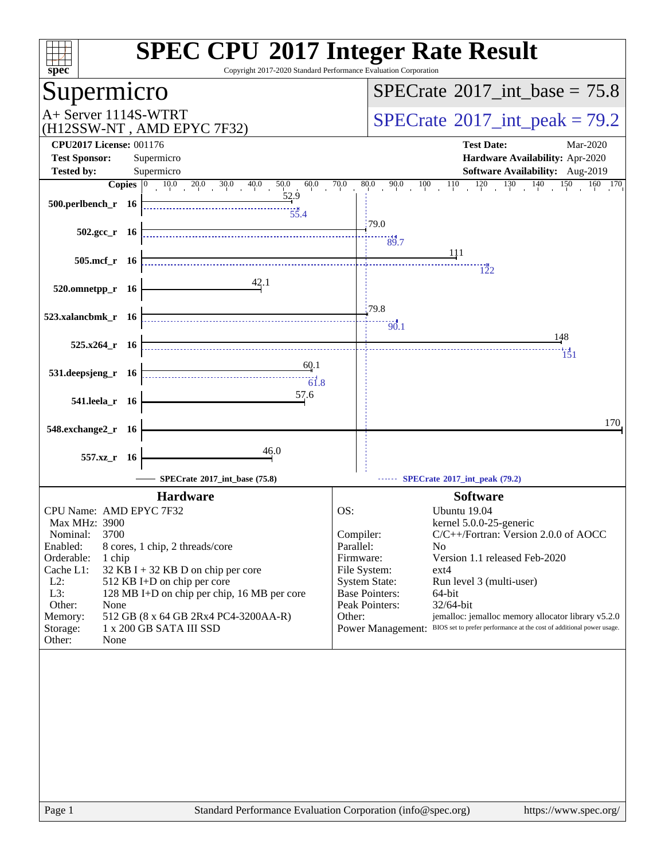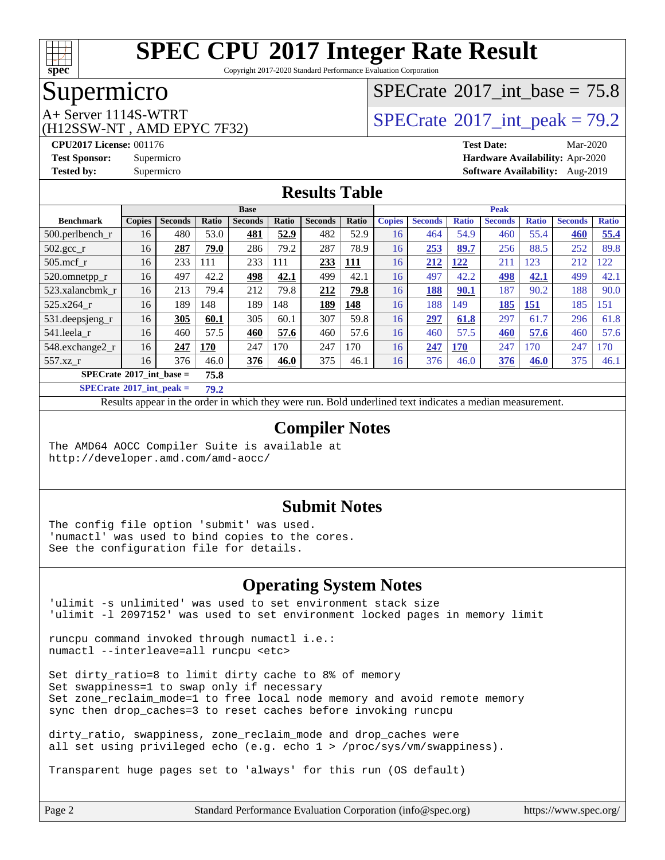

Copyright 2017-2020 Standard Performance Evaluation Corporation

### Supermicro

(H12SSW-NT , AMD EPYC 7F32)

### [SPECrate](http://www.spec.org/auto/cpu2017/Docs/result-fields.html#SPECrate2017intbase)®2017 int\_base =  $75.8$

# A+ Server 1114S-WTRT  $SPECrate^{\circ}2017$  $SPECrate^{\circ}2017$  int peak = 79.2

**[CPU2017 License:](http://www.spec.org/auto/cpu2017/Docs/result-fields.html#CPU2017License)** 001176 **[Test Date:](http://www.spec.org/auto/cpu2017/Docs/result-fields.html#TestDate)** Mar-2020 **[Test Sponsor:](http://www.spec.org/auto/cpu2017/Docs/result-fields.html#TestSponsor)** Supermicro **[Hardware Availability:](http://www.spec.org/auto/cpu2017/Docs/result-fields.html#HardwareAvailability)** Apr-2020 **[Tested by:](http://www.spec.org/auto/cpu2017/Docs/result-fields.html#Testedby)** Supermicro **[Software Availability:](http://www.spec.org/auto/cpu2017/Docs/result-fields.html#SoftwareAvailability)** Aug-2019

#### **[Results Table](http://www.spec.org/auto/cpu2017/Docs/result-fields.html#ResultsTable)**

|                                           | <b>Base</b>   |                |       |                |              |                | <b>Peak</b> |               |                |              |                |              |                |              |
|-------------------------------------------|---------------|----------------|-------|----------------|--------------|----------------|-------------|---------------|----------------|--------------|----------------|--------------|----------------|--------------|
| <b>Benchmark</b>                          | <b>Copies</b> | <b>Seconds</b> | Ratio | <b>Seconds</b> | <b>Ratio</b> | <b>Seconds</b> | Ratio       | <b>Copies</b> | <b>Seconds</b> | <b>Ratio</b> | <b>Seconds</b> | <b>Ratio</b> | <b>Seconds</b> | <b>Ratio</b> |
| 500.perlbench r                           | 16            | 480            | 53.0  | 481            | 52.9         | 482            | 52.9        | 16            | 464            | 54.9         | 460            | 55.4         | 460            | 55.4         |
| $502.\text{gcc}$ <sub>r</sub>             | 16            | 287            | 79.0  | 286            | 79.2         | 287            | 78.9        | 16            | 253            | 89.7         | 256            | 88.5         | 252            | 89.8         |
| $505$ .mcf r                              | 16            | 233            | 111   | 233            | 111          | 233            | <u> 111</u> | 16            | 212            | 122          | 211            | 123          | 212            | 122          |
| 520.omnetpp_r                             | 16            | 497            | 42.2  | 498            | 42.1         | 499            | 42.1        | 16            | 497            | 42.2         | 498            | 42.1         | 499            | 42.1         |
| 523.xalancbmk r                           | 16            | 213            | 79.4  | 212            | 79.8         | 212            | 79.8        | 16            | <b>188</b>     | 90.1         | 187            | 90.2         | 188            | 90.0         |
| 525.x264 r                                | 16            | 189            | 148   | 189            | 148          | 189            | 148         | 16            | 188            | 149          | 185            | 151          | 185            | 151          |
| 531.deepsjeng_r                           | 16            | 305            | 60.1  | 305            | 60.1         | 307            | 59.8        | 16            | 297            | 61.8         | 297            | 61.7         | 296            | 61.8         |
| 541.leela r                               | 16            | 460            | 57.5  | 460            | 57.6         | 460            | 57.6        | 16            | 460            | 57.5         | 460            | 57.6         | 460            | 57.6         |
| 548.exchange2 r                           | 16            | 247            | 170   | 247            | 170          | 247            | 170         | 16            | 247            | <b>170</b>   | 247            | 170          | 247            | 170          |
| 557.xz r                                  | 16            | 376            | 46.0  | 376            | 46.0         | 375            | 46.1        | 16            | 376            | 46.0         | 376            | 46.0         | 375            | 46.1         |
| $SPECrate^{\circ}2017$ int base =<br>75.8 |               |                |       |                |              |                |             |               |                |              |                |              |                |              |

**[SPECrate](http://www.spec.org/auto/cpu2017/Docs/result-fields.html#SPECrate2017intpeak)[2017\\_int\\_peak =](http://www.spec.org/auto/cpu2017/Docs/result-fields.html#SPECrate2017intpeak) 79.2**

Results appear in the [order in which they were run.](http://www.spec.org/auto/cpu2017/Docs/result-fields.html#RunOrder) Bold underlined text [indicates a median measurement.](http://www.spec.org/auto/cpu2017/Docs/result-fields.html#Median)

#### **[Compiler Notes](http://www.spec.org/auto/cpu2017/Docs/result-fields.html#CompilerNotes)**

The AMD64 AOCC Compiler Suite is available at <http://developer.amd.com/amd-aocc/>

#### **[Submit Notes](http://www.spec.org/auto/cpu2017/Docs/result-fields.html#SubmitNotes)**

The config file option 'submit' was used. 'numactl' was used to bind copies to the cores. See the configuration file for details.

#### **[Operating System Notes](http://www.spec.org/auto/cpu2017/Docs/result-fields.html#OperatingSystemNotes)**

'ulimit -s unlimited' was used to set environment stack size 'ulimit -l 2097152' was used to set environment locked pages in memory limit

runcpu command invoked through numactl i.e.: numactl --interleave=all runcpu <etc>

Set dirty\_ratio=8 to limit dirty cache to 8% of memory Set swappiness=1 to swap only if necessary Set zone\_reclaim\_mode=1 to free local node memory and avoid remote memory sync then drop\_caches=3 to reset caches before invoking runcpu

dirty\_ratio, swappiness, zone\_reclaim\_mode and drop\_caches were all set using privileged echo (e.g. echo 1 > /proc/sys/vm/swappiness).

Transparent huge pages set to 'always' for this run (OS default)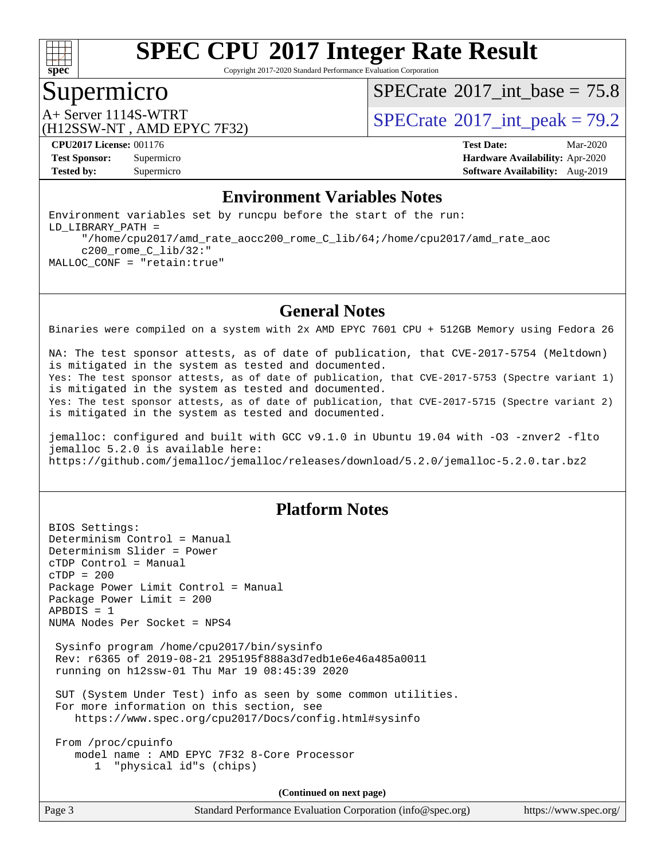

Copyright 2017-2020 Standard Performance Evaluation Corporation

### Supermicro

[SPECrate](http://www.spec.org/auto/cpu2017/Docs/result-fields.html#SPECrate2017intbase)®2017 int\_base =  $75.8$ 

(H12SSW-NT , AMD EPYC 7F32)

A+ Server 1114S-WTRT  $SPECTate$ <sup>®</sup>2017 int peak = 79.2

**[CPU2017 License:](http://www.spec.org/auto/cpu2017/Docs/result-fields.html#CPU2017License)** 001176 **[Test Date:](http://www.spec.org/auto/cpu2017/Docs/result-fields.html#TestDate)** Mar-2020 **[Test Sponsor:](http://www.spec.org/auto/cpu2017/Docs/result-fields.html#TestSponsor)** Supermicro **[Hardware Availability:](http://www.spec.org/auto/cpu2017/Docs/result-fields.html#HardwareAvailability)** Apr-2020 **[Tested by:](http://www.spec.org/auto/cpu2017/Docs/result-fields.html#Testedby)** Supermicro **[Software Availability:](http://www.spec.org/auto/cpu2017/Docs/result-fields.html#SoftwareAvailability)** Aug-2019

### **[Environment Variables Notes](http://www.spec.org/auto/cpu2017/Docs/result-fields.html#EnvironmentVariablesNotes)**

Environment variables set by runcpu before the start of the run: LD\_LIBRARY\_PATH = "/home/cpu2017/amd\_rate\_aocc200\_rome\_C\_lib/64;/home/cpu2017/amd\_rate\_aoc c200\_rome\_C\_lib/32:" MALLOC\_CONF = "retain:true"

#### **[General Notes](http://www.spec.org/auto/cpu2017/Docs/result-fields.html#GeneralNotes)**

Binaries were compiled on a system with 2x AMD EPYC 7601 CPU + 512GB Memory using Fedora 26

NA: The test sponsor attests, as of date of publication, that CVE-2017-5754 (Meltdown) is mitigated in the system as tested and documented. Yes: The test sponsor attests, as of date of publication, that CVE-2017-5753 (Spectre variant 1) is mitigated in the system as tested and documented. Yes: The test sponsor attests, as of date of publication, that CVE-2017-5715 (Spectre variant 2) is mitigated in the system as tested and documented.

jemalloc: configured and built with GCC v9.1.0 in Ubuntu 19.04 with -O3 -znver2 -flto jemalloc 5.2.0 is available here: <https://github.com/jemalloc/jemalloc/releases/download/5.2.0/jemalloc-5.2.0.tar.bz2>

#### **[Platform Notes](http://www.spec.org/auto/cpu2017/Docs/result-fields.html#PlatformNotes)**

BIOS Settings: Determinism Control = Manual Determinism Slider = Power cTDP Control = Manual cTDP = 200 Package Power Limit Control = Manual Package Power Limit = 200 APBDIS = 1 NUMA Nodes Per Socket = NPS4 Sysinfo program /home/cpu2017/bin/sysinfo Rev: r6365 of 2019-08-21 295195f888a3d7edb1e6e46a485a0011 running on h12ssw-01 Thu Mar 19 08:45:39 2020 SUT (System Under Test) info as seen by some common utilities. For more information on this section, see <https://www.spec.org/cpu2017/Docs/config.html#sysinfo> From /proc/cpuinfo model name : AMD EPYC 7F32 8-Core Processor 1 "physical id"s (chips)

**(Continued on next page)**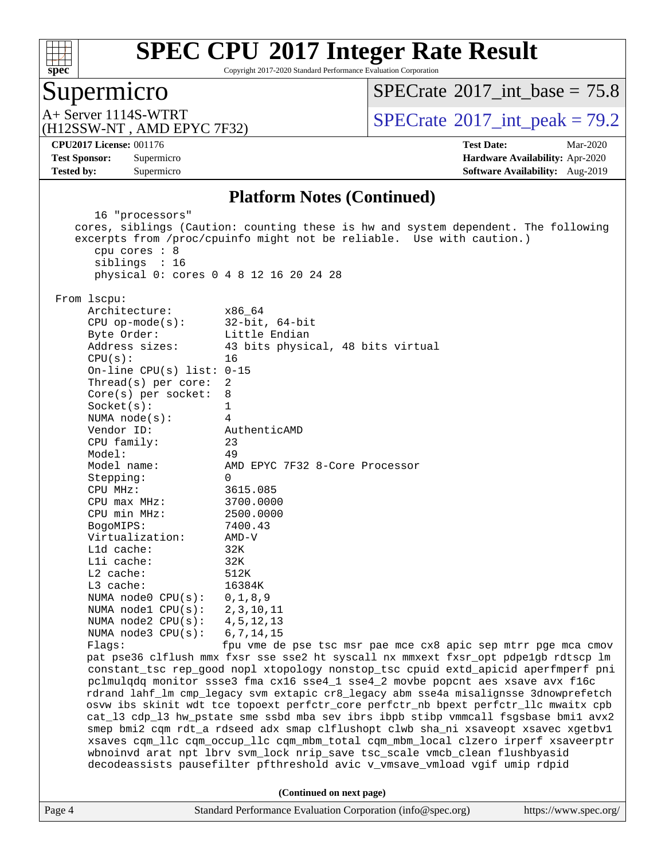

Copyright 2017-2020 Standard Performance Evaluation Corporation

### Supermicro

[SPECrate](http://www.spec.org/auto/cpu2017/Docs/result-fields.html#SPECrate2017intbase)®2017 int\_base =  $75.8$ 

(H12SSW-NT , AMD EPYC 7F32)

A+ Server 1114S-WTRT  $SPECTB222$   $SPECTB222$   $SPECTB222$  int peak = 79.2

**[Tested by:](http://www.spec.org/auto/cpu2017/Docs/result-fields.html#Testedby)** Supermicro **Supermicro [Software Availability:](http://www.spec.org/auto/cpu2017/Docs/result-fields.html#SoftwareAvailability)** Aug-2019

**[CPU2017 License:](http://www.spec.org/auto/cpu2017/Docs/result-fields.html#CPU2017License)** 001176 **[Test Date:](http://www.spec.org/auto/cpu2017/Docs/result-fields.html#TestDate)** Mar-2020 **[Test Sponsor:](http://www.spec.org/auto/cpu2017/Docs/result-fields.html#TestSponsor)** Supermicro **[Hardware Availability:](http://www.spec.org/auto/cpu2017/Docs/result-fields.html#HardwareAvailability)** Apr-2020

#### **[Platform Notes \(Continued\)](http://www.spec.org/auto/cpu2017/Docs/result-fields.html#PlatformNotes)**

Page 4 Standard Performance Evaluation Corporation [\(info@spec.org\)](mailto:info@spec.org) <https://www.spec.org/> 16 "processors" cores, siblings (Caution: counting these is hw and system dependent. The following excerpts from /proc/cpuinfo might not be reliable. Use with caution.) cpu cores : 8 siblings : 16 physical 0: cores 0 4 8 12 16 20 24 28 From lscpu: Architecture: x86\_64 CPU op-mode(s): 32-bit, 64-bit Byte Order: Little Endian Address sizes: 43 bits physical, 48 bits virtual  $CPU(s):$  16 On-line CPU(s) list: 0-15 Thread(s) per core: 2 Core(s) per socket: 8 Socket(s): 1 NUMA node(s): 4 Vendor ID: AuthenticAMD CPU family: 23 Model: 49 Model name: AMD EPYC 7F32 8-Core Processor Stepping: 0 CPU MHz: 3615.085 CPU max MHz: 3700.0000 CPU min MHz: 2500.0000 BogoMIPS: 7400.43 Virtualization: AMD-V L1d cache: 32K L1i cache: 32K L2 cache: 512K L3 cache: 16384K NUMA node0 CPU(s): 0,1,8,9 NUMA node1 CPU(s): 2,3,10,11 NUMA node2 CPU(s): 4,5,12,13 NUMA node3 CPU(s): 6,7,14,15 Flags: fpu vme de pse tsc msr pae mce cx8 apic sep mtrr pge mca cmov pat pse36 clflush mmx fxsr sse sse2 ht syscall nx mmxext fxsr\_opt pdpe1gb rdtscp lm constant\_tsc rep\_good nopl xtopology nonstop\_tsc cpuid extd\_apicid aperfmperf pni pclmulqdq monitor ssse3 fma cx16 sse4\_1 sse4\_2 movbe popcnt aes xsave avx f16c rdrand lahf\_lm cmp\_legacy svm extapic cr8\_legacy abm sse4a misalignsse 3dnowprefetch osvw ibs skinit wdt tce topoext perfctr\_core perfctr\_nb bpext perfctr\_llc mwaitx cpb cat\_l3 cdp\_l3 hw\_pstate sme ssbd mba sev ibrs ibpb stibp vmmcall fsgsbase bmi1 avx2 smep bmi2 cqm rdt\_a rdseed adx smap clflushopt clwb sha\_ni xsaveopt xsavec xgetbv1 xsaves cqm\_llc cqm\_occup\_llc cqm\_mbm\_total cqm\_mbm\_local clzero irperf xsaveerptr wbnoinvd arat npt lbrv svm\_lock nrip\_save tsc\_scale vmcb\_clean flushbyasid decodeassists pausefilter pfthreshold avic v\_vmsave\_vmload vgif umip rdpid **(Continued on next page)**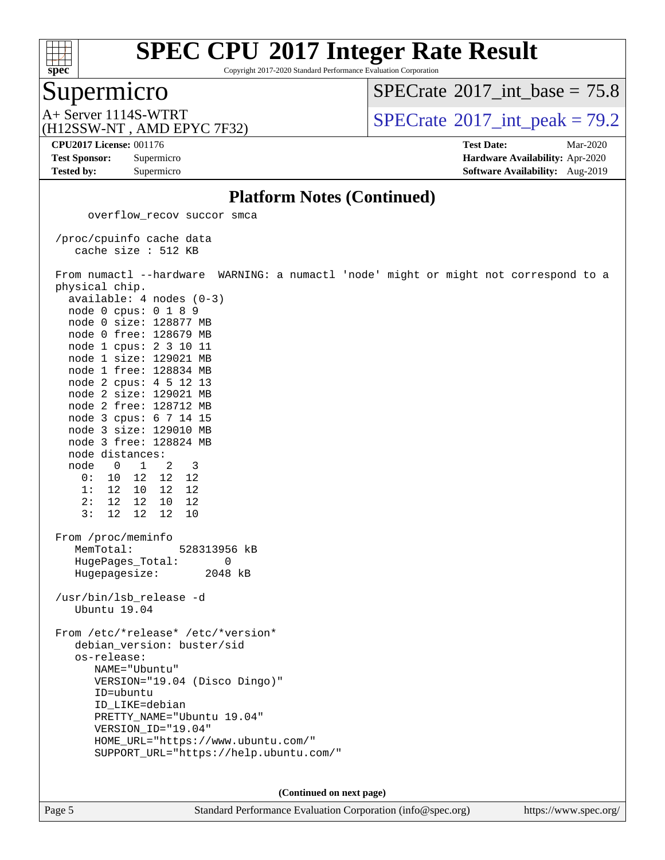

Copyright 2017-2020 Standard Performance Evaluation Corporation

### Supermicro

[SPECrate](http://www.spec.org/auto/cpu2017/Docs/result-fields.html#SPECrate2017intbase)®2017 int\_base =  $75.8$ 

(H12SSW-NT , AMD EPYC 7F32)

A+ Server 1114S-WTRT  $SPECTate$ <sup>®</sup>2017 int peak = 79.2

**[Tested by:](http://www.spec.org/auto/cpu2017/Docs/result-fields.html#Testedby)** Supermicro **[Software Availability:](http://www.spec.org/auto/cpu2017/Docs/result-fields.html#SoftwareAvailability)** Aug-2019

**[CPU2017 License:](http://www.spec.org/auto/cpu2017/Docs/result-fields.html#CPU2017License)** 001176 **[Test Date:](http://www.spec.org/auto/cpu2017/Docs/result-fields.html#TestDate)** Mar-2020 **[Test Sponsor:](http://www.spec.org/auto/cpu2017/Docs/result-fields.html#TestSponsor)** Supermicro **[Hardware Availability:](http://www.spec.org/auto/cpu2017/Docs/result-fields.html#HardwareAvailability)** Apr-2020

#### **[Platform Notes \(Continued\)](http://www.spec.org/auto/cpu2017/Docs/result-fields.html#PlatformNotes)**

 overflow\_recov succor smca /proc/cpuinfo cache data cache size : 512 KB From numactl --hardware WARNING: a numactl 'node' might or might not correspond to a physical chip. available: 4 nodes (0-3) node 0 cpus: 0 1 8 9 node 0 size: 128877 MB node 0 free: 128679 MB node 1 cpus: 2 3 10 11 node 1 size: 129021 MB node 1 free: 128834 MB node 2 cpus: 4 5 12 13 node 2 size: 129021 MB node 2 free: 128712 MB node 3 cpus: 6 7 14 15 node 3 size: 129010 MB node 3 free: 128824 MB node distances: node 0 1 2 3 0: 10 12 12 12 1: 12 10 12 12 2: 12 12 10 12 3: 12 12 12 10 From /proc/meminfo MemTotal: 528313956 kB HugePages\_Total: 0 Hugepagesize: 2048 kB /usr/bin/lsb\_release -d Ubuntu 19.04 From /etc/\*release\* /etc/\*version\* debian\_version: buster/sid os-release: NAME="Ubuntu" VERSION="19.04 (Disco Dingo)" ID=ubuntu ID\_LIKE=debian PRETTY\_NAME="Ubuntu 19.04" VERSION\_ID="19.04" HOME\_URL="<https://www.ubuntu.com/"> SUPPORT\_URL="<https://help.ubuntu.com/">

**(Continued on next page)**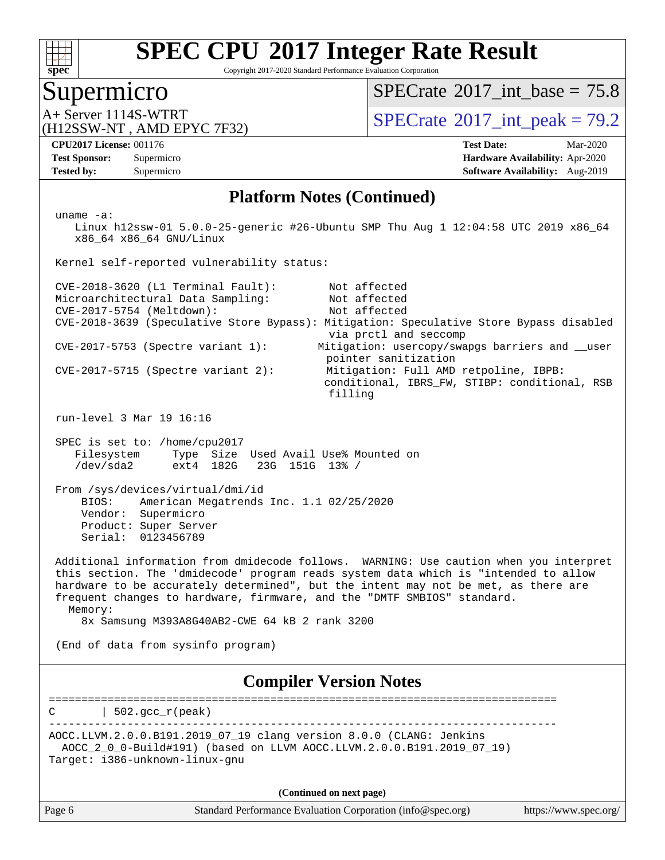

Copyright 2017-2020 Standard Performance Evaluation Corporation

### Supermicro

[SPECrate](http://www.spec.org/auto/cpu2017/Docs/result-fields.html#SPECrate2017intbase)®2017 int\_base =  $75.8$ 

(H12SSW-NT , AMD EPYC 7F32)

A+ Server 1114S-WTRT  $SPECrate^{\circ}2017$  $SPECrate^{\circ}2017$  int peak = 79.2

**[Tested by:](http://www.spec.org/auto/cpu2017/Docs/result-fields.html#Testedby)** Supermicro **Supermicro [Software Availability:](http://www.spec.org/auto/cpu2017/Docs/result-fields.html#SoftwareAvailability)** Aug-2019

**[CPU2017 License:](http://www.spec.org/auto/cpu2017/Docs/result-fields.html#CPU2017License)** 001176 **[Test Date:](http://www.spec.org/auto/cpu2017/Docs/result-fields.html#TestDate)** Mar-2020 **[Test Sponsor:](http://www.spec.org/auto/cpu2017/Docs/result-fields.html#TestSponsor)** Supermicro **[Hardware Availability:](http://www.spec.org/auto/cpu2017/Docs/result-fields.html#HardwareAvailability)** Apr-2020

#### **[Platform Notes \(Continued\)](http://www.spec.org/auto/cpu2017/Docs/result-fields.html#PlatformNotes)**

 uname -a: Linux h12ssw-01 5.0.0-25-generic #26-Ubuntu SMP Thu Aug 1 12:04:58 UTC 2019 x86\_64 x86\_64 x86\_64 GNU/Linux Kernel self-reported vulnerability status: CVE-2018-3620 (L1 Terminal Fault): Not affected Microarchitectural Data Sampling: Not affected<br>CVE-2017-5754 (Meltdown): Not affected  $CVE-2017-5754$  (Meltdown): CVE-2018-3639 (Speculative Store Bypass): Mitigation: Speculative Store Bypass disabled via prctl and seccomp CVE-2017-5753 (Spectre variant 1): Mitigation: usercopy/swapgs barriers and \_\_user pointer sanitization CVE-2017-5715 (Spectre variant 2): Mitigation: Full AMD retpoline, IBPB: conditional, IBRS\_FW, STIBP: conditional, RSB filling run-level 3 Mar 19 16:16 SPEC is set to: /home/cpu2017 Filesystem Type Size Used Avail Use% Mounted on /dev/sda2 ext4 182G 23G 151G 13% / From /sys/devices/virtual/dmi/id BIOS: American Megatrends Inc. 1.1 02/25/2020 Vendor: Supermicro Product: Super Server Serial: 0123456789 Additional information from dmidecode follows. WARNING: Use caution when you interpret this section. The 'dmidecode' program reads system data which is "intended to allow hardware to be accurately determined", but the intent may not be met, as there are frequent changes to hardware, firmware, and the "DMTF SMBIOS" standard. Memory: 8x Samsung M393A8G40AB2-CWE 64 kB 2 rank 3200 (End of data from sysinfo program) **[Compiler Version Notes](http://www.spec.org/auto/cpu2017/Docs/result-fields.html#CompilerVersionNotes)** ==============================================================================  $C \qquad | \quad 502.\text{gcc\_r}(\text{peak})$ ------------------------------------------------------------------------------ AOCC.LLVM.2.0.0.B191.2019\_07\_19 clang version 8.0.0 (CLANG: Jenkins AOCC\_2\_0\_0-Build#191) (based on LLVM AOCC.LLVM.2.0.0.B191.2019\_07\_19) Target: i386-unknown-linux-gnu **(Continued on next page)**

Page 6 Standard Performance Evaluation Corporation [\(info@spec.org\)](mailto:info@spec.org) <https://www.spec.org/>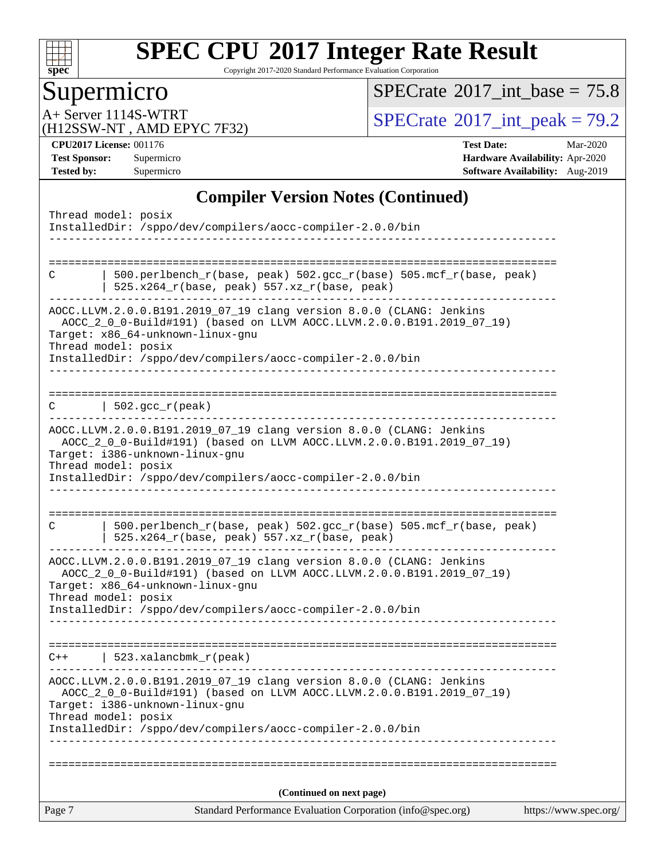

Copyright 2017-2020 Standard Performance Evaluation Corporation

# **Supermicro**

 $SPECTate$ <sup>®</sup>[2017\\_int\\_base =](http://www.spec.org/auto/cpu2017/Docs/result-fields.html#SPECrate2017intbase) 75.8

(H12SSW-NT , AMD EPYC 7F32)

A+ Server 1114S-WTRT<br>
(H12SSW-NT AMD FPYC 7F32) [SPECrate](http://www.spec.org/auto/cpu2017/Docs/result-fields.html#SPECrate2017intpeak)®[2017\\_int\\_peak =](http://www.spec.org/auto/cpu2017/Docs/result-fields.html#SPECrate2017intpeak) 79.2

**[CPU2017 License:](http://www.spec.org/auto/cpu2017/Docs/result-fields.html#CPU2017License)** 001176 **[Test Date:](http://www.spec.org/auto/cpu2017/Docs/result-fields.html#TestDate)** Mar-2020 **[Test Sponsor:](http://www.spec.org/auto/cpu2017/Docs/result-fields.html#TestSponsor)** Supermicro **[Hardware Availability:](http://www.spec.org/auto/cpu2017/Docs/result-fields.html#HardwareAvailability)** Apr-2020 **[Tested by:](http://www.spec.org/auto/cpu2017/Docs/result-fields.html#Testedby)** Supermicro **Supermicro [Software Availability:](http://www.spec.org/auto/cpu2017/Docs/result-fields.html#SoftwareAvailability)** Aug-2019

### **[Compiler Version Notes \(Continued\)](http://www.spec.org/auto/cpu2017/Docs/result-fields.html#CompilerVersionNotes)**

| Page 7              | Standard Performance Evaluation Corporation (info@spec.org)                                                                                  | https://www.spec.org/ |
|---------------------|----------------------------------------------------------------------------------------------------------------------------------------------|-----------------------|
|                     | (Continued on next page)                                                                                                                     |                       |
|                     |                                                                                                                                              |                       |
| Thread model: posix | Target: i386-unknown-linux-gnu<br>InstalledDir: /sppo/dev/compilers/aocc-compiler-2.0.0/bin                                                  |                       |
|                     | AOCC.LLVM.2.0.0.B191.2019_07_19 clang version 8.0.0 (CLANG: Jenkins<br>AOCC_2_0_0-Build#191) (based on LLVM AOCC.LLVM.2.0.0.B191.2019_07_19) |                       |
| $C++$               | 523.xalancbmk_r(peak)                                                                                                                        |                       |
|                     |                                                                                                                                              |                       |
|                     | InstalledDir: /sppo/dev/compilers/aocc-compiler-2.0.0/bin                                                                                    |                       |
| Thread model: posix | AOCC_2_0_0-Build#191) (based on LLVM AOCC.LLVM.2.0.0.B191.2019_07_19)<br>Target: x86_64-unknown-linux-gnu                                    |                       |
|                     | AOCC.LLVM.2.0.0.B191.2019_07_19 clang version 8.0.0 (CLANG: Jenkins                                                                          |                       |
| C                   | 500.perlbench_r(base, peak) 502.gcc_r(base) 505.mcf_r(base, peak)<br>$525.x264_r(base, peak) 557.xz_r(base, peak)$                           |                       |
|                     | InstalledDir: /sppo/dev/compilers/aocc-compiler-2.0.0/bin                                                                                    |                       |
| Thread model: posix | Target: i386-unknown-linux-gnu                                                                                                               |                       |
|                     | AOCC.LLVM.2.0.0.B191.2019_07_19 clang version 8.0.0 (CLANG: Jenkins<br>AOCC_2_0_0-Build#191) (based on LLVM AOCC.LLVM.2.0.0.B191.2019_07_19) |                       |
|                     | -------------------------                                                                                                                    |                       |
| C                   | $\vert$ 502.gcc_r(peak)                                                                                                                      |                       |
|                     | InstalledDir: /sppo/dev/compilers/aocc-compiler-2.0.0/bin                                                                                    |                       |
| Thread model: posix | Target: x86_64-unknown-linux-gnu                                                                                                             |                       |
|                     | AOCC.LLVM.2.0.0.B191.2019_07_19 clang version 8.0.0 (CLANG: Jenkins<br>AOCC_2_0_0-Build#191) (based on LLVM AOCC.LLVM.2.0.0.B191.2019_07_19) |                       |
| C                   | 500.perlbench_r(base, peak) 502.gcc_r(base) 505.mcf_r(base, peak)<br>525.x264_r(base, peak) 557.xz_r(base, peak)                             |                       |
|                     |                                                                                                                                              |                       |
|                     | InstalledDir: /sppo/dev/compilers/aocc-compiler-2.0.0/bin                                                                                    |                       |
| Thread model: posix |                                                                                                                                              |                       |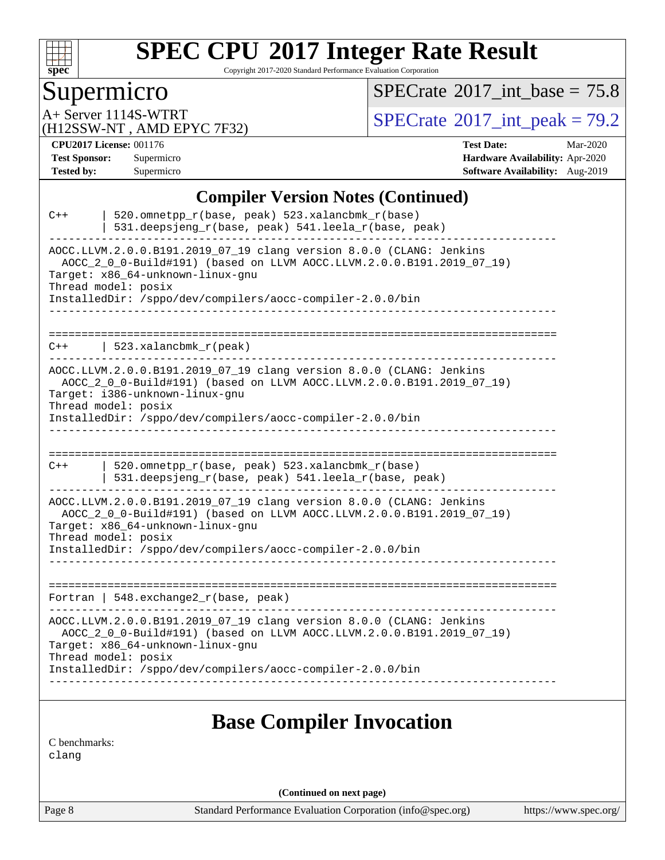

Copyright 2017-2020 Standard Performance Evaluation Corporation

# Supermicro

 $SPECTate$ <sup>®</sup>[2017\\_int\\_base =](http://www.spec.org/auto/cpu2017/Docs/result-fields.html#SPECrate2017intbase) 75.8

(H12SSW-NT , AMD EPYC 7F32)

A+ Server 1114S-WTRT<br>(H12SSW-NT AMD EPYC 7F32) [SPECrate](http://www.spec.org/auto/cpu2017/Docs/result-fields.html#SPECrate2017intpeak)®[2017\\_int\\_peak =](http://www.spec.org/auto/cpu2017/Docs/result-fields.html#SPECrate2017intpeak) 79.2

**[CPU2017 License:](http://www.spec.org/auto/cpu2017/Docs/result-fields.html#CPU2017License)** 001176 **[Test Date:](http://www.spec.org/auto/cpu2017/Docs/result-fields.html#TestDate)** Mar-2020 **[Test Sponsor:](http://www.spec.org/auto/cpu2017/Docs/result-fields.html#TestSponsor)** Supermicro **[Hardware Availability:](http://www.spec.org/auto/cpu2017/Docs/result-fields.html#HardwareAvailability)** Apr-2020 **[Tested by:](http://www.spec.org/auto/cpu2017/Docs/result-fields.html#Testedby)** Supermicro **Supermicro [Software Availability:](http://www.spec.org/auto/cpu2017/Docs/result-fields.html#SoftwareAvailability)** Aug-2019

#### **[Compiler Version Notes \(Continued\)](http://www.spec.org/auto/cpu2017/Docs/result-fields.html#CompilerVersionNotes)**

| $C++$                     | 520.omnetpp_r(base, peak) 523.xalancbmk_r(base)<br>531.deepsjeng_r(base, peak) 541.leela_r(base, peak)                                                                                                                                                               |
|---------------------------|----------------------------------------------------------------------------------------------------------------------------------------------------------------------------------------------------------------------------------------------------------------------|
|                           | AOCC.LLVM.2.0.0.B191.2019_07_19 clang version 8.0.0 (CLANG: Jenkins<br>AOCC_2_0_0-Build#191) (based on LLVM AOCC.LLVM.2.0.0.B191.2019_07_19)<br>Target: x86_64-unknown-linux-gnu<br>Thread model: posix<br>InstalledDir: /sppo/dev/compilers/aocc-compiler-2.0.0/bin |
| ----------------<br>$C++$ | 523.xalancbmk r(peak)                                                                                                                                                                                                                                                |
|                           | AOCC.LLVM.2.0.0.B191.2019_07_19 clang version 8.0.0 (CLANG: Jenkins<br>AOCC_2_0_0-Build#191) (based on LLVM AOCC.LLVM.2.0.0.B191.2019_07_19)<br>Target: i386-unknown-linux-gnu<br>Thread model: posix<br>InstalledDir: /sppo/dev/compilers/aocc-compiler-2.0.0/bin   |
|                           |                                                                                                                                                                                                                                                                      |
| $C++$                     | 520.omnetpp_r(base, peak) 523.xalancbmk_r(base)<br>531.deepsjeng_r(base, peak) 541.leela_r(base, peak)                                                                                                                                                               |
|                           | AOCC.LLVM.2.0.0.B191.2019_07_19 clang version 8.0.0 (CLANG: Jenkins<br>AOCC_2_0_0-Build#191) (based on LLVM AOCC.LLVM.2.0.0.B191.2019_07_19)<br>Target: x86 64-unknown-linux-gnu<br>Thread model: posix                                                              |
|                           | InstalledDir: /sppo/dev/compilers/aocc-compiler-2.0.0/bin                                                                                                                                                                                                            |
|                           | Fortran   548. exchange2_r(base, peak)                                                                                                                                                                                                                               |
|                           | AOCC.LLVM.2.0.0.B191.2019_07_19 clang version 8.0.0 (CLANG: Jenkins<br>AOCC_2_0_0-Build#191) (based on LLVM AOCC.LLVM.2.0.0.B191.2019_07_19)<br>Target: x86_64-unknown-linux-gnu<br>Thread model: posix                                                              |
|                           | InstalledDir: /sppo/dev/compilers/aocc-compiler-2.0.0/bin                                                                                                                                                                                                            |
|                           | <b>Base Compiler Invocation</b>                                                                                                                                                                                                                                      |
|                           |                                                                                                                                                                                                                                                                      |

[C benchmarks](http://www.spec.org/auto/cpu2017/Docs/result-fields.html#Cbenchmarks):

[clang](http://www.spec.org/cpu2017/results/res2020q2/cpu2017-20200331-21856.flags.html#user_CCbase_clang-c)

**(Continued on next page)**

Page 8 Standard Performance Evaluation Corporation [\(info@spec.org\)](mailto:info@spec.org) <https://www.spec.org/>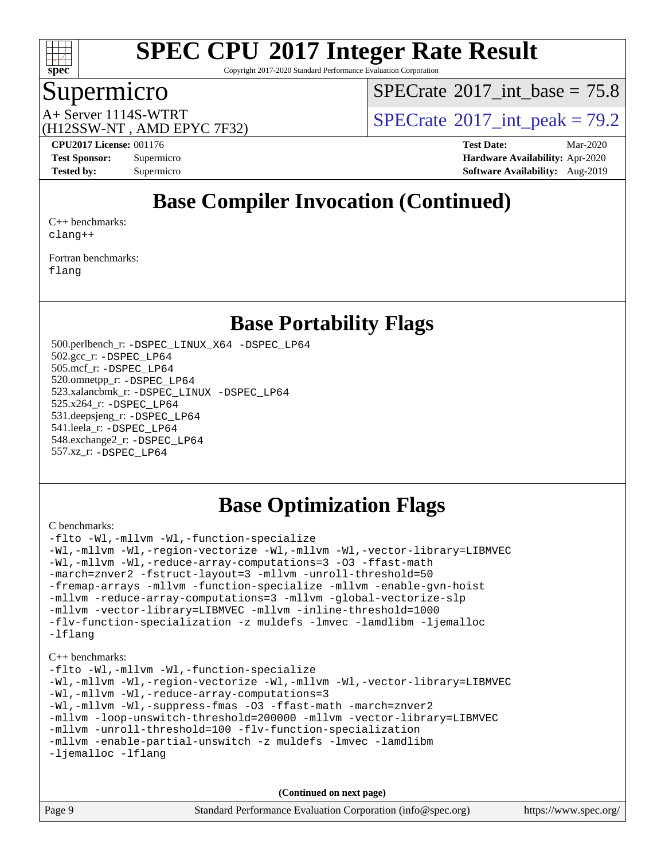

Copyright 2017-2020 Standard Performance Evaluation Corporation

# Supermicro

[SPECrate](http://www.spec.org/auto/cpu2017/Docs/result-fields.html#SPECrate2017intbase)®2017 int\_base =  $75.8$ 

(H12SSW-NT , AMD EPYC 7F32)

A+ Server 1114S-WTRT  $SPECrate^{\circ}2017$  $SPECrate^{\circ}2017$  int peak = 79.2

**[CPU2017 License:](http://www.spec.org/auto/cpu2017/Docs/result-fields.html#CPU2017License)** 001176 **[Test Date:](http://www.spec.org/auto/cpu2017/Docs/result-fields.html#TestDate)** Mar-2020 **[Test Sponsor:](http://www.spec.org/auto/cpu2017/Docs/result-fields.html#TestSponsor)** Supermicro **[Hardware Availability:](http://www.spec.org/auto/cpu2017/Docs/result-fields.html#HardwareAvailability)** Apr-2020 **[Tested by:](http://www.spec.org/auto/cpu2017/Docs/result-fields.html#Testedby)** Supermicro **Supermicro [Software Availability:](http://www.spec.org/auto/cpu2017/Docs/result-fields.html#SoftwareAvailability)** Aug-2019

# **[Base Compiler Invocation \(Continued\)](http://www.spec.org/auto/cpu2017/Docs/result-fields.html#BaseCompilerInvocation)**

[C++ benchmarks:](http://www.spec.org/auto/cpu2017/Docs/result-fields.html#CXXbenchmarks) [clang++](http://www.spec.org/cpu2017/results/res2020q2/cpu2017-20200331-21856.flags.html#user_CXXbase_clang-cpp)

[Fortran benchmarks](http://www.spec.org/auto/cpu2017/Docs/result-fields.html#Fortranbenchmarks): [flang](http://www.spec.org/cpu2017/results/res2020q2/cpu2017-20200331-21856.flags.html#user_FCbase_flang)

### **[Base Portability Flags](http://www.spec.org/auto/cpu2017/Docs/result-fields.html#BasePortabilityFlags)**

 500.perlbench\_r: [-DSPEC\\_LINUX\\_X64](http://www.spec.org/cpu2017/results/res2020q2/cpu2017-20200331-21856.flags.html#b500.perlbench_r_basePORTABILITY_DSPEC_LINUX_X64) [-DSPEC\\_LP64](http://www.spec.org/cpu2017/results/res2020q2/cpu2017-20200331-21856.flags.html#b500.perlbench_r_baseEXTRA_PORTABILITY_DSPEC_LP64) 502.gcc\_r: [-DSPEC\\_LP64](http://www.spec.org/cpu2017/results/res2020q2/cpu2017-20200331-21856.flags.html#suite_baseEXTRA_PORTABILITY502_gcc_r_DSPEC_LP64) 505.mcf\_r: [-DSPEC\\_LP64](http://www.spec.org/cpu2017/results/res2020q2/cpu2017-20200331-21856.flags.html#suite_baseEXTRA_PORTABILITY505_mcf_r_DSPEC_LP64) 520.omnetpp\_r: [-DSPEC\\_LP64](http://www.spec.org/cpu2017/results/res2020q2/cpu2017-20200331-21856.flags.html#suite_baseEXTRA_PORTABILITY520_omnetpp_r_DSPEC_LP64) 523.xalancbmk\_r: [-DSPEC\\_LINUX](http://www.spec.org/cpu2017/results/res2020q2/cpu2017-20200331-21856.flags.html#b523.xalancbmk_r_basePORTABILITY_DSPEC_LINUX) [-DSPEC\\_LP64](http://www.spec.org/cpu2017/results/res2020q2/cpu2017-20200331-21856.flags.html#suite_baseEXTRA_PORTABILITY523_xalancbmk_r_DSPEC_LP64) 525.x264\_r: [-DSPEC\\_LP64](http://www.spec.org/cpu2017/results/res2020q2/cpu2017-20200331-21856.flags.html#suite_baseEXTRA_PORTABILITY525_x264_r_DSPEC_LP64) 531.deepsjeng\_r: [-DSPEC\\_LP64](http://www.spec.org/cpu2017/results/res2020q2/cpu2017-20200331-21856.flags.html#suite_baseEXTRA_PORTABILITY531_deepsjeng_r_DSPEC_LP64) 541.leela\_r: [-DSPEC\\_LP64](http://www.spec.org/cpu2017/results/res2020q2/cpu2017-20200331-21856.flags.html#suite_baseEXTRA_PORTABILITY541_leela_r_DSPEC_LP64) 548.exchange2\_r: [-DSPEC\\_LP64](http://www.spec.org/cpu2017/results/res2020q2/cpu2017-20200331-21856.flags.html#suite_baseEXTRA_PORTABILITY548_exchange2_r_DSPEC_LP64) 557.xz\_r: [-DSPEC\\_LP64](http://www.spec.org/cpu2017/results/res2020q2/cpu2017-20200331-21856.flags.html#suite_baseEXTRA_PORTABILITY557_xz_r_DSPEC_LP64)

# **[Base Optimization Flags](http://www.spec.org/auto/cpu2017/Docs/result-fields.html#BaseOptimizationFlags)**

[C benchmarks](http://www.spec.org/auto/cpu2017/Docs/result-fields.html#Cbenchmarks):

```
-flto -Wl,-mllvm -Wl,-function-specialize
-Wl,-mllvm -Wl,-region-vectorize -Wl,-mllvm -Wl,-vector-library=LIBMVEC
-Wl,-mllvm -Wl,-reduce-array-computations=3 -O3 -ffast-math
-march=znver2 -fstruct-layout=3 -mllvm -unroll-threshold=50
-fremap-arrays -mllvm -function-specialize -mllvm -enable-gvn-hoist
-mllvm -reduce-array-computations=3 -mllvm -global-vectorize-slp
-mllvm -vector-library=LIBMVEC -mllvm -inline-threshold=1000
-flv-function-specialization -z muldefs -lmvec -lamdlibm -ljemalloc
-lflang
C++ benchmarks: 
-flto -Wl,-mllvm -Wl,-function-specialize
-Wl,-mllvm -Wl,-region-vectorize -Wl,-mllvm -Wl,-vector-library=LIBMVEC
-Wl,-mllvm -Wl,-reduce-array-computations=3
-Wl,-mllvm -Wl,-suppress-fmas -O3 -ffast-math -march=znver2
-mllvm -loop-unswitch-threshold=200000 -mllvm -vector-library=LIBMVEC
-mllvm -unroll-threshold=100 -flv-function-specialization
-mllvm -enable-partial-unswitch -z muldefs -lmvec -lamdlibm
-ljemalloc -lflang
```
**(Continued on next page)**

| Page 9 | Standard Performance Evaluation Corporation (info@spec.org) | https://www.spec.org/ |
|--------|-------------------------------------------------------------|-----------------------|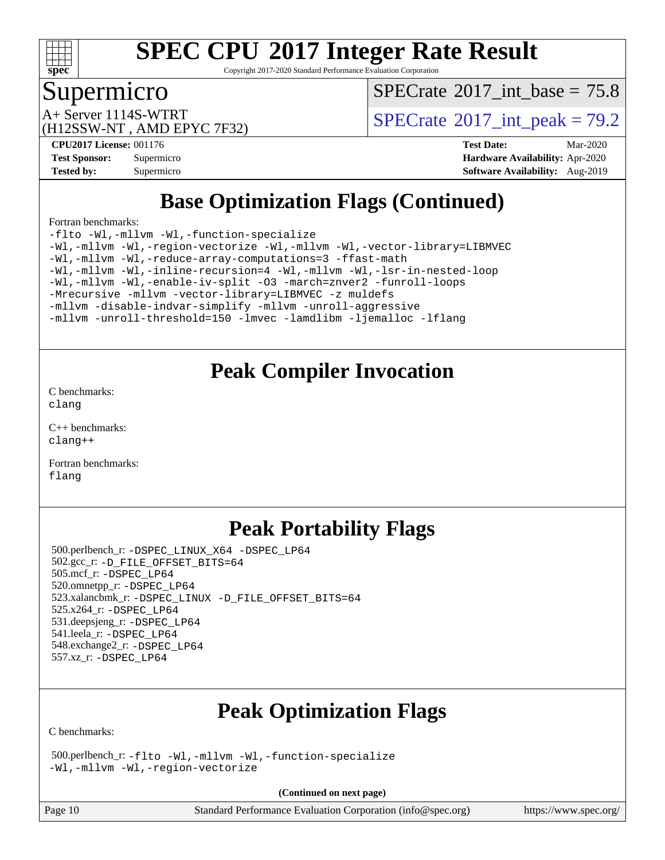

Copyright 2017-2020 Standard Performance Evaluation Corporation

### Supermicro

[SPECrate](http://www.spec.org/auto/cpu2017/Docs/result-fields.html#SPECrate2017intbase)®2017 int\_base =  $75.8$ 

(H12SSW-NT , AMD EPYC 7F32)

A+ Server 1114S-WTRT  $SPECTate$ <sup>®</sup>2017 int peak = 79.2

**[CPU2017 License:](http://www.spec.org/auto/cpu2017/Docs/result-fields.html#CPU2017License)** 001176 **[Test Date:](http://www.spec.org/auto/cpu2017/Docs/result-fields.html#TestDate)** Mar-2020 **[Test Sponsor:](http://www.spec.org/auto/cpu2017/Docs/result-fields.html#TestSponsor)** Supermicro **[Hardware Availability:](http://www.spec.org/auto/cpu2017/Docs/result-fields.html#HardwareAvailability)** Apr-2020 **[Tested by:](http://www.spec.org/auto/cpu2017/Docs/result-fields.html#Testedby)** Supermicro **[Software Availability:](http://www.spec.org/auto/cpu2017/Docs/result-fields.html#SoftwareAvailability)** Aug-2019

# **[Base Optimization Flags \(Continued\)](http://www.spec.org/auto/cpu2017/Docs/result-fields.html#BaseOptimizationFlags)**

[Fortran benchmarks](http://www.spec.org/auto/cpu2017/Docs/result-fields.html#Fortranbenchmarks):

[-flto](http://www.spec.org/cpu2017/results/res2020q2/cpu2017-20200331-21856.flags.html#user_FCbase_aocc-flto) [-Wl,-mllvm -Wl,-function-specialize](http://www.spec.org/cpu2017/results/res2020q2/cpu2017-20200331-21856.flags.html#user_FCbase_F-function-specialize_7e7e661e57922243ee67c9a1251cb8910e607325179a0ce7f2884e09a6f5d4a5ef0ae4f37e8a2a11c95fc48e931f06dc2b6016f14b511fcb441e048bef1b065a) [-Wl,-mllvm -Wl,-region-vectorize](http://www.spec.org/cpu2017/results/res2020q2/cpu2017-20200331-21856.flags.html#user_FCbase_F-region-vectorize_fb6c6b5aa293c88efc6c7c2b52b20755e943585b1fe8658c35afef78727fff56e1a56891413c30e36b8e2a6f9a71126986319243e80eb6110b78b288f533c52b) [-Wl,-mllvm -Wl,-vector-library=LIBMVEC](http://www.spec.org/cpu2017/results/res2020q2/cpu2017-20200331-21856.flags.html#user_FCbase_F-use-vector-library_0a14b27fae317f283640384a31f7bfcc2bd4c1d0b5cfc618a3a430800c9b20217b00f61303eff223a3251b4f06ffbc9739dc5296db9d1fbb9ad24a3939d86d66) [-Wl,-mllvm -Wl,-reduce-array-computations=3](http://www.spec.org/cpu2017/results/res2020q2/cpu2017-20200331-21856.flags.html#user_FCbase_F-reduce-array-computations_b882aefe7a5dda4e33149f6299762b9a720dace3e498e13756f4c04e5a19edf5315c1f3993de2e61ec41e8c206231f84e05da7040e1bb5d69ba27d10a12507e4) [-ffast-math](http://www.spec.org/cpu2017/results/res2020q2/cpu2017-20200331-21856.flags.html#user_FCbase_aocc-ffast-math) [-Wl,-mllvm -Wl,-inline-recursion=4](http://www.spec.org/cpu2017/results/res2020q2/cpu2017-20200331-21856.flags.html#user_FCbase_F-inline-recursion) [-Wl,-mllvm -Wl,-lsr-in-nested-loop](http://www.spec.org/cpu2017/results/res2020q2/cpu2017-20200331-21856.flags.html#user_FCbase_F-lsr-in-nested-loop_de4bc7331d07d857538198a5cc9592bc905d78a18065d49b9acfd1f777ae9eca5716aaa3e0e674a48e2e5ec9dad184ee0c682635ad7eff4181b32ab748bf2f49) [-Wl,-mllvm -Wl,-enable-iv-split](http://www.spec.org/cpu2017/results/res2020q2/cpu2017-20200331-21856.flags.html#user_FCbase_F-enable-iv-split_efc18925ba63acc4bb74cb6e43d0987b7b3cf01924ad910e2a6edbbbd0f8b582e31f1ee7ccede3f08176ef2ad41c69507170fb32301bf478d45ceb38dfb89c5e) [-O3](http://www.spec.org/cpu2017/results/res2020q2/cpu2017-20200331-21856.flags.html#user_FCbase_F-O3) [-march=znver2](http://www.spec.org/cpu2017/results/res2020q2/cpu2017-20200331-21856.flags.html#user_FCbase_aocc-march_3e2e19cff2eeef60c5d90b059483627c9ea47eca6d66670dbd53f9185f6439e27eb5e104cf773e9e8ab18c8842ce63e461a3e948d0214bd567ef3ade411bf467) [-funroll-loops](http://www.spec.org/cpu2017/results/res2020q2/cpu2017-20200331-21856.flags.html#user_FCbase_aocc-unroll-loops) [-Mrecursive](http://www.spec.org/cpu2017/results/res2020q2/cpu2017-20200331-21856.flags.html#user_FCbase_F-mrecursive_20a145d63f12d5750a899e17d4450b5b8b40330a9bb4af13688ca650e6fb30857bbbe44fb35cdbb895df6e5b2769de0a0d7659f51ff17acfbef6febafec4023f) [-mllvm -vector-library=LIBMVEC](http://www.spec.org/cpu2017/results/res2020q2/cpu2017-20200331-21856.flags.html#user_FCbase_F-use-vector-library_e584e20b4f7ec96aa109254b65d8e01d864f3d68580371b9d93ed7c338191d4cfce20c3c864632264effc6bbe4c7c38153d02096a342ee92501c4a53204a7871) [-z muldefs](http://www.spec.org/cpu2017/results/res2020q2/cpu2017-20200331-21856.flags.html#user_FCbase_aocc-muldefs) [-mllvm -disable-indvar-simplify](http://www.spec.org/cpu2017/results/res2020q2/cpu2017-20200331-21856.flags.html#user_FCbase_F-disable-indvar-simplify_c8d861bf19eba5001219ab52ef051176e06bf3166017d5c1ce87aec66e795c6723d10bf23d5a91730d61ad4b3f566b39dd0a4d6e5b2af269ebae30428a1f3630) [-mllvm -unroll-aggressive](http://www.spec.org/cpu2017/results/res2020q2/cpu2017-20200331-21856.flags.html#user_FCbase_F-unroll-aggressive_a366db20af3fd871754361e6b05945ac700b8c3fc538cc6688c755ae5874c6da3d6f3bb6e8d93320d5094064830fdb2c06064831f0f08d916cd8f333e5dba6d9) [-mllvm -unroll-threshold=150](http://www.spec.org/cpu2017/results/res2020q2/cpu2017-20200331-21856.flags.html#user_FCbase_F-unroll-threshold_3352736ce55666ed13437f5f5fd6693920e68d4dfd26bba42492bb1c46b6d7692ff5ba7bd4d2ebdab48d140ca981a39154ff0664b4d322a66fc3d1aafa4d7ffe) [-lmvec](http://www.spec.org/cpu2017/results/res2020q2/cpu2017-20200331-21856.flags.html#user_FCbase_F-lmvec) [-lamdlibm](http://www.spec.org/cpu2017/results/res2020q2/cpu2017-20200331-21856.flags.html#user_FCbase_F-lamdlibm) [-ljemalloc](http://www.spec.org/cpu2017/results/res2020q2/cpu2017-20200331-21856.flags.html#user_FCbase_jemalloc-lib) [-lflang](http://www.spec.org/cpu2017/results/res2020q2/cpu2017-20200331-21856.flags.html#user_FCbase_F-lflang)

# **[Peak Compiler Invocation](http://www.spec.org/auto/cpu2017/Docs/result-fields.html#PeakCompilerInvocation)**

[C benchmarks](http://www.spec.org/auto/cpu2017/Docs/result-fields.html#Cbenchmarks): [clang](http://www.spec.org/cpu2017/results/res2020q2/cpu2017-20200331-21856.flags.html#user_CCpeak_clang-c)

[C++ benchmarks:](http://www.spec.org/auto/cpu2017/Docs/result-fields.html#CXXbenchmarks) [clang++](http://www.spec.org/cpu2017/results/res2020q2/cpu2017-20200331-21856.flags.html#user_CXXpeak_clang-cpp)

[Fortran benchmarks](http://www.spec.org/auto/cpu2017/Docs/result-fields.html#Fortranbenchmarks): [flang](http://www.spec.org/cpu2017/results/res2020q2/cpu2017-20200331-21856.flags.html#user_FCpeak_flang)

# **[Peak Portability Flags](http://www.spec.org/auto/cpu2017/Docs/result-fields.html#PeakPortabilityFlags)**

 500.perlbench\_r: [-DSPEC\\_LINUX\\_X64](http://www.spec.org/cpu2017/results/res2020q2/cpu2017-20200331-21856.flags.html#b500.perlbench_r_peakPORTABILITY_DSPEC_LINUX_X64) [-DSPEC\\_LP64](http://www.spec.org/cpu2017/results/res2020q2/cpu2017-20200331-21856.flags.html#b500.perlbench_r_peakEXTRA_PORTABILITY_DSPEC_LP64) 502.gcc\_r: [-D\\_FILE\\_OFFSET\\_BITS=64](http://www.spec.org/cpu2017/results/res2020q2/cpu2017-20200331-21856.flags.html#user_peakEXTRA_PORTABILITY502_gcc_r_F-D_FILE_OFFSET_BITS_5ae949a99b284ddf4e95728d47cb0843d81b2eb0e18bdfe74bbf0f61d0b064f4bda2f10ea5eb90e1dcab0e84dbc592acfc5018bc955c18609f94ddb8d550002c) 505.mcf\_r: [-DSPEC\\_LP64](http://www.spec.org/cpu2017/results/res2020q2/cpu2017-20200331-21856.flags.html#suite_peakEXTRA_PORTABILITY505_mcf_r_DSPEC_LP64) 520.omnetpp\_r: [-DSPEC\\_LP64](http://www.spec.org/cpu2017/results/res2020q2/cpu2017-20200331-21856.flags.html#suite_peakEXTRA_PORTABILITY520_omnetpp_r_DSPEC_LP64) 523.xalancbmk\_r: [-DSPEC\\_LINUX](http://www.spec.org/cpu2017/results/res2020q2/cpu2017-20200331-21856.flags.html#b523.xalancbmk_r_peakPORTABILITY_DSPEC_LINUX) [-D\\_FILE\\_OFFSET\\_BITS=64](http://www.spec.org/cpu2017/results/res2020q2/cpu2017-20200331-21856.flags.html#user_peakEXTRA_PORTABILITY523_xalancbmk_r_F-D_FILE_OFFSET_BITS_5ae949a99b284ddf4e95728d47cb0843d81b2eb0e18bdfe74bbf0f61d0b064f4bda2f10ea5eb90e1dcab0e84dbc592acfc5018bc955c18609f94ddb8d550002c) 525.x264\_r: [-DSPEC\\_LP64](http://www.spec.org/cpu2017/results/res2020q2/cpu2017-20200331-21856.flags.html#suite_peakEXTRA_PORTABILITY525_x264_r_DSPEC_LP64) 531.deepsjeng\_r: [-DSPEC\\_LP64](http://www.spec.org/cpu2017/results/res2020q2/cpu2017-20200331-21856.flags.html#suite_peakEXTRA_PORTABILITY531_deepsjeng_r_DSPEC_LP64) 541.leela\_r: [-DSPEC\\_LP64](http://www.spec.org/cpu2017/results/res2020q2/cpu2017-20200331-21856.flags.html#suite_peakEXTRA_PORTABILITY541_leela_r_DSPEC_LP64) 548.exchange2\_r: [-DSPEC\\_LP64](http://www.spec.org/cpu2017/results/res2020q2/cpu2017-20200331-21856.flags.html#suite_peakEXTRA_PORTABILITY548_exchange2_r_DSPEC_LP64) 557.xz\_r: [-DSPEC\\_LP64](http://www.spec.org/cpu2017/results/res2020q2/cpu2017-20200331-21856.flags.html#suite_peakEXTRA_PORTABILITY557_xz_r_DSPEC_LP64)

# **[Peak Optimization Flags](http://www.spec.org/auto/cpu2017/Docs/result-fields.html#PeakOptimizationFlags)**

[C benchmarks](http://www.spec.org/auto/cpu2017/Docs/result-fields.html#Cbenchmarks):

 500.perlbench\_r: [-flto](http://www.spec.org/cpu2017/results/res2020q2/cpu2017-20200331-21856.flags.html#user_peakCOPTIMIZELDFLAGS500_perlbench_r_aocc-flto) [-Wl,-mllvm -Wl,-function-specialize](http://www.spec.org/cpu2017/results/res2020q2/cpu2017-20200331-21856.flags.html#user_peakLDFLAGS500_perlbench_r_F-function-specialize_7e7e661e57922243ee67c9a1251cb8910e607325179a0ce7f2884e09a6f5d4a5ef0ae4f37e8a2a11c95fc48e931f06dc2b6016f14b511fcb441e048bef1b065a) [-Wl,-mllvm -Wl,-region-vectorize](http://www.spec.org/cpu2017/results/res2020q2/cpu2017-20200331-21856.flags.html#user_peakLDFLAGS500_perlbench_r_F-region-vectorize_fb6c6b5aa293c88efc6c7c2b52b20755e943585b1fe8658c35afef78727fff56e1a56891413c30e36b8e2a6f9a71126986319243e80eb6110b78b288f533c52b)

**(Continued on next page)**

Page 10 Standard Performance Evaluation Corporation [\(info@spec.org\)](mailto:info@spec.org) <https://www.spec.org/>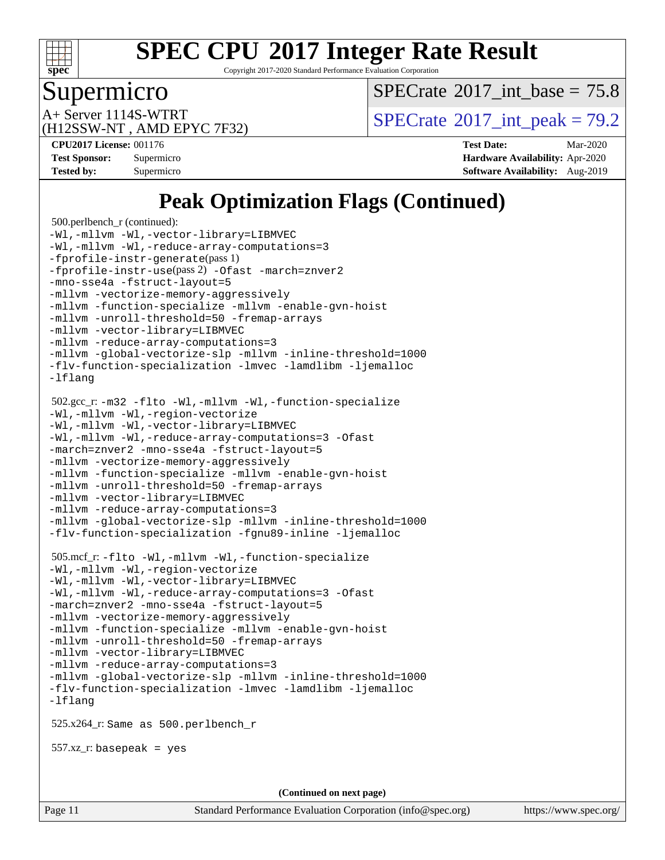

Copyright 2017-2020 Standard Performance Evaluation Corporation

### Supermicro

[SPECrate](http://www.spec.org/auto/cpu2017/Docs/result-fields.html#SPECrate2017intbase)<sup>®</sup>2017 int\_base = 75.8

(H12SSW-NT , AMD EPYC 7F32)

A+ Server 1114S-WTRT  $SPECTate$ <sup>®</sup>2017 int peak = 79.2

**[Tested by:](http://www.spec.org/auto/cpu2017/Docs/result-fields.html#Testedby)** Supermicro **[Software Availability:](http://www.spec.org/auto/cpu2017/Docs/result-fields.html#SoftwareAvailability)** Aug-2019

**[CPU2017 License:](http://www.spec.org/auto/cpu2017/Docs/result-fields.html#CPU2017License)** 001176 **[Test Date:](http://www.spec.org/auto/cpu2017/Docs/result-fields.html#TestDate)** Mar-2020 **[Test Sponsor:](http://www.spec.org/auto/cpu2017/Docs/result-fields.html#TestSponsor)** Supermicro **[Hardware Availability:](http://www.spec.org/auto/cpu2017/Docs/result-fields.html#HardwareAvailability)** Apr-2020

# **[Peak Optimization Flags \(Continued\)](http://www.spec.org/auto/cpu2017/Docs/result-fields.html#PeakOptimizationFlags)**

```
 500.perlbench_r (continued):
-Wl,-mllvm -Wl,-vector-library=LIBMVEC
-Wl,-mllvm -Wl,-reduce-array-computations=3
-fprofile-instr-generate(pass 1)
-fprofile-instr-use(pass 2) -Ofast -march=znver2
-mno-sse4a -fstruct-layout=5
-mllvm -vectorize-memory-aggressively
-mllvm -function-specialize -mllvm -enable-gvn-hoist
-mllvm -unroll-threshold=50 -fremap-arrays
-mllvm -vector-library=LIBMVEC
-mllvm -reduce-array-computations=3
-mllvm -global-vectorize-slp -mllvm -inline-threshold=1000
-flv-function-specialization -lmvec -lamdlibm -ljemalloc
-lflang
 502.gcc_r: -m32 -flto -Wl,-mllvm -Wl,-function-specialize
-Wl,-mllvm -Wl,-region-vectorize
-Wl,-mllvm -Wl,-vector-library=LIBMVEC
-Wl,-mllvm -Wl,-reduce-array-computations=3 -Ofast
-march=znver2 -mno-sse4a -fstruct-layout=5
-mllvm -vectorize-memory-aggressively
-mllvm -function-specialize -mllvm -enable-gvn-hoist
-mllvm -unroll-threshold=50 -fremap-arrays
-mllvm -vector-library=LIBMVEC
-mllvm -reduce-array-computations=3
-mllvm -global-vectorize-slp -mllvm -inline-threshold=1000
-flv-function-specialization -fgnu89-inline -ljemalloc
 505.mcf_r: -flto -Wl,-mllvm -Wl,-function-specialize
-Wl,-mllvm -Wl,-region-vectorize
-Wl,-mllvm -Wl,-vector-library=LIBMVEC
-Wl,-mllvm -Wl,-reduce-array-computations=3 -Ofast
-march=znver2 -mno-sse4a -fstruct-layout=5
-mllvm -vectorize-memory-aggressively
-mllvm -function-specialize -mllvm -enable-gvn-hoist
-mllvm -unroll-threshold=50 -fremap-arrays
-mllvm -vector-library=LIBMVEC
-mllvm -reduce-array-computations=3
-mllvm -global-vectorize-slp -mllvm -inline-threshold=1000
-flv-function-specialization -lmvec -lamdlibm -ljemalloc
-lflang
 525.x264_r: Same as 500.perlbench_r
 557.xz_r: basepeak = yes
                                    (Continued on next page)
```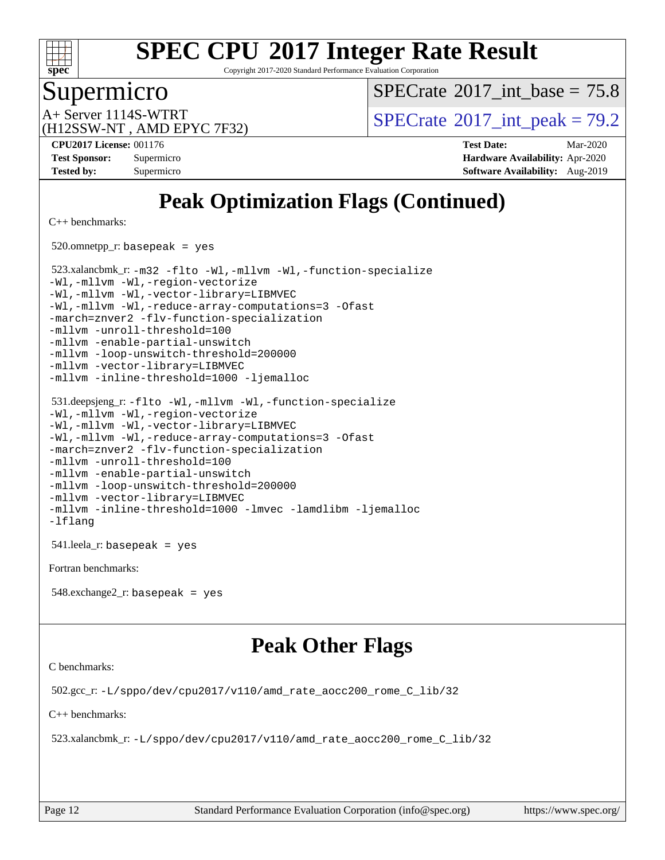

Copyright 2017-2020 Standard Performance Evaluation Corporation

### Supermicro

[SPECrate](http://www.spec.org/auto/cpu2017/Docs/result-fields.html#SPECrate2017intbase)®2017 int\_base =  $75.8$ 

(H12SSW-NT , AMD EPYC 7F32)

A+ Server 1114S-WTRT  $SPECTate$ <sup>®</sup>2017 int peak = 79.2

**[CPU2017 License:](http://www.spec.org/auto/cpu2017/Docs/result-fields.html#CPU2017License)** 001176 **[Test Date:](http://www.spec.org/auto/cpu2017/Docs/result-fields.html#TestDate)** Mar-2020 **[Test Sponsor:](http://www.spec.org/auto/cpu2017/Docs/result-fields.html#TestSponsor)** Supermicro **[Hardware Availability:](http://www.spec.org/auto/cpu2017/Docs/result-fields.html#HardwareAvailability)** Apr-2020 **[Tested by:](http://www.spec.org/auto/cpu2017/Docs/result-fields.html#Testedby)** Supermicro **[Software Availability:](http://www.spec.org/auto/cpu2017/Docs/result-fields.html#SoftwareAvailability)** Aug-2019

# **[Peak Optimization Flags \(Continued\)](http://www.spec.org/auto/cpu2017/Docs/result-fields.html#PeakOptimizationFlags)**

[C++ benchmarks:](http://www.spec.org/auto/cpu2017/Docs/result-fields.html#CXXbenchmarks)

520.omnetpp\_r: basepeak = yes

 523.xalancbmk\_r: [-m32](http://www.spec.org/cpu2017/results/res2020q2/cpu2017-20200331-21856.flags.html#user_peakCXXLD523_xalancbmk_r_F-m32) [-flto](http://www.spec.org/cpu2017/results/res2020q2/cpu2017-20200331-21856.flags.html#user_peakCXXOPTIMIZELDFLAGS523_xalancbmk_r_aocc-flto) [-Wl,-mllvm -Wl,-function-specialize](http://www.spec.org/cpu2017/results/res2020q2/cpu2017-20200331-21856.flags.html#user_peakLDFLAGS523_xalancbmk_r_F-function-specialize_7e7e661e57922243ee67c9a1251cb8910e607325179a0ce7f2884e09a6f5d4a5ef0ae4f37e8a2a11c95fc48e931f06dc2b6016f14b511fcb441e048bef1b065a) [-Wl,-mllvm -Wl,-region-vectorize](http://www.spec.org/cpu2017/results/res2020q2/cpu2017-20200331-21856.flags.html#user_peakLDFLAGS523_xalancbmk_r_F-region-vectorize_fb6c6b5aa293c88efc6c7c2b52b20755e943585b1fe8658c35afef78727fff56e1a56891413c30e36b8e2a6f9a71126986319243e80eb6110b78b288f533c52b) [-Wl,-mllvm -Wl,-vector-library=LIBMVEC](http://www.spec.org/cpu2017/results/res2020q2/cpu2017-20200331-21856.flags.html#user_peakLDFLAGS523_xalancbmk_r_F-use-vector-library_0a14b27fae317f283640384a31f7bfcc2bd4c1d0b5cfc618a3a430800c9b20217b00f61303eff223a3251b4f06ffbc9739dc5296db9d1fbb9ad24a3939d86d66) [-Wl,-mllvm -Wl,-reduce-array-computations=3](http://www.spec.org/cpu2017/results/res2020q2/cpu2017-20200331-21856.flags.html#user_peakLDFLAGS523_xalancbmk_r_F-reduce-array-computations_b882aefe7a5dda4e33149f6299762b9a720dace3e498e13756f4c04e5a19edf5315c1f3993de2e61ec41e8c206231f84e05da7040e1bb5d69ba27d10a12507e4) [-Ofast](http://www.spec.org/cpu2017/results/res2020q2/cpu2017-20200331-21856.flags.html#user_peakCXXOPTIMIZE523_xalancbmk_r_aocc-Ofast) [-march=znver2](http://www.spec.org/cpu2017/results/res2020q2/cpu2017-20200331-21856.flags.html#user_peakCXXOPTIMIZE523_xalancbmk_r_aocc-march_3e2e19cff2eeef60c5d90b059483627c9ea47eca6d66670dbd53f9185f6439e27eb5e104cf773e9e8ab18c8842ce63e461a3e948d0214bd567ef3ade411bf467) [-flv-function-specialization](http://www.spec.org/cpu2017/results/res2020q2/cpu2017-20200331-21856.flags.html#user_peakCXXOPTIMIZE523_xalancbmk_r_F-flv-function-specialization) [-mllvm -unroll-threshold=100](http://www.spec.org/cpu2017/results/res2020q2/cpu2017-20200331-21856.flags.html#user_peakCXXOPTIMIZE523_xalancbmk_r_F-unroll-threshold_2755d0c78138845d361fa1543e3a063fffa198df9b3edf0cfb856bbc88a81e1769b12ac7a550c5d35197be55360db1a3f95a8d1304df999456cabf5120c45168) [-mllvm -enable-partial-unswitch](http://www.spec.org/cpu2017/results/res2020q2/cpu2017-20200331-21856.flags.html#user_peakCXXOPTIMIZE523_xalancbmk_r_F-enable-partial-unswitch_6e1c33f981d77963b1eaf834973128a7f33ce3f8e27f54689656697a35e89dcc875281e0e6283d043e32f367dcb605ba0e307a92e830f7e326789fa6c61b35d3) [-mllvm -loop-unswitch-threshold=200000](http://www.spec.org/cpu2017/results/res2020q2/cpu2017-20200331-21856.flags.html#user_peakCXXOPTIMIZE523_xalancbmk_r_F-loop-unswitch-threshold_f9a82ae3270e55b5fbf79d0d96ee93606b73edbbe527d20b18b7bff1a3a146ad50cfc7454c5297978340ae9213029016a7d16221274d672d3f7f42ed25274e1d) [-mllvm -vector-library=LIBMVEC](http://www.spec.org/cpu2017/results/res2020q2/cpu2017-20200331-21856.flags.html#user_peakCXXOPTIMIZE523_xalancbmk_r_F-use-vector-library_e584e20b4f7ec96aa109254b65d8e01d864f3d68580371b9d93ed7c338191d4cfce20c3c864632264effc6bbe4c7c38153d02096a342ee92501c4a53204a7871) [-mllvm -inline-threshold=1000](http://www.spec.org/cpu2017/results/res2020q2/cpu2017-20200331-21856.flags.html#user_peakCXXOPTIMIZE523_xalancbmk_r_dragonegg-llvm-inline-threshold_b7832241b0a6397e4ecdbaf0eb7defdc10f885c2a282fa3240fdc99844d543fda39cf8a4a9dccf68cf19b5438ac3b455264f478df15da0f4988afa40d8243bab) [-ljemalloc](http://www.spec.org/cpu2017/results/res2020q2/cpu2017-20200331-21856.flags.html#user_peakEXTRA_LIBS523_xalancbmk_r_jemalloc-lib)

```
 531.deepsjeng_r: -flto -Wl,-mllvm -Wl,-function-specialize
-Wl,-mllvm -Wl,-region-vectorize
-Wl,-mllvm -Wl,-vector-library=LIBMVEC
-Wl,-mllvm -Wl,-reduce-array-computations=3 -Ofast
-march=znver2 -flv-function-specialization
-mllvm -unroll-threshold=100
-mllvm -enable-partial-unswitch
-mllvm -loop-unswitch-threshold=200000
-mllvm -vector-library=LIBMVEC
-mllvm -inline-threshold=1000 -lmvec -lamdlibm -ljemalloc
-lflang
```
541.leela\_r: basepeak = yes

[Fortran benchmarks](http://www.spec.org/auto/cpu2017/Docs/result-fields.html#Fortranbenchmarks):

548.exchange2\_r: basepeak = yes

### **[Peak Other Flags](http://www.spec.org/auto/cpu2017/Docs/result-fields.html#PeakOtherFlags)**

[C benchmarks](http://www.spec.org/auto/cpu2017/Docs/result-fields.html#Cbenchmarks):

502.gcc\_r: [-L/sppo/dev/cpu2017/v110/amd\\_rate\\_aocc200\\_rome\\_C\\_lib/32](http://www.spec.org/cpu2017/results/res2020q2/cpu2017-20200331-21856.flags.html#user_peakEXTRA_LIBS502_gcc_r_Link_path_a9570a09ab7984dec96953723679ba46d1cc889e68ea807206190854d2467589825e735b1949203d0133560968f4d6db4c58ee4bd595cb0557b3761d194796c7)

[C++ benchmarks:](http://www.spec.org/auto/cpu2017/Docs/result-fields.html#CXXbenchmarks)

523.xalancbmk\_r: [-L/sppo/dev/cpu2017/v110/amd\\_rate\\_aocc200\\_rome\\_C\\_lib/32](http://www.spec.org/cpu2017/results/res2020q2/cpu2017-20200331-21856.flags.html#user_peakEXTRA_LIBS523_xalancbmk_r_Link_path_a9570a09ab7984dec96953723679ba46d1cc889e68ea807206190854d2467589825e735b1949203d0133560968f4d6db4c58ee4bd595cb0557b3761d194796c7)